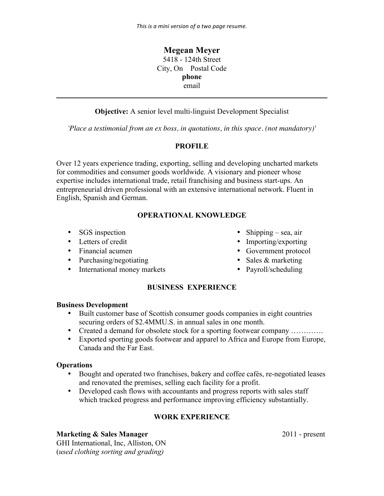**Megean Meyer** 5418 - 124th Street City, On Postal Code **phone** email **\_\_\_\_\_\_\_\_\_\_\_\_\_\_\_\_\_\_\_\_\_\_\_\_\_\_\_\_\_\_\_\_\_\_\_\_\_\_\_\_\_\_\_\_\_\_\_\_\_\_\_\_\_\_\_\_\_\_\_\_\_\_\_\_\_\_\_\_\_\_\_\_**

**Objective:** A senior level multi-linguist Development Specialist

*'Place a testimonial from an ex boss, in quotations, in this space. (not mandatory)'*

## **PROFILE**

Over 12 years experience trading, exporting, selling and developing uncharted markets for commodities and consumer goods worldwide. A visionary and pioneer whose expertise includes international trade, retail franchising and business start-ups. An entrepreneurial driven professional with an extensive international network. Fluent in English, Spanish and German.

# **OPERATIONAL KNOWLEDGE**

- 
- 
- 
- 
- Purchasing/negotiating Sales & marketing<br>• International money markets Payroll/scheduling  $\bullet$  International money markets
- SGS inspection Shipping sea, air
- Letters of credit Importing/exporting
- Financial acumen Government protocol
	-
	-

# **BUSINESS EXPERIENCE**

### **Business Development**

- Built customer base of Scottish consumer goods companies in eight countries securing orders of \$2.4MMU.S. in annual sales in one month.
- Created a demand for obsolete stock for a sporting footwear company ………….
- Exported sporting goods footwear and apparel to Africa and Europe from Europe, Canada and the Far East.

### **Operations**

- Bought and operated two franchises, bakery and coffee cafés, re-negotiated leases and renovated the premises, selling each facility for a profit.
- Developed cash flows with accountants and progress reports with sales staff which tracked progress and performance improving efficiency substantially.

# **WORK EXPERIENCE**

### **Marketing & Sales Manager** 2011 - present

GHI International, Inc, Alliston, ON (*used clothing sorting and grading)*